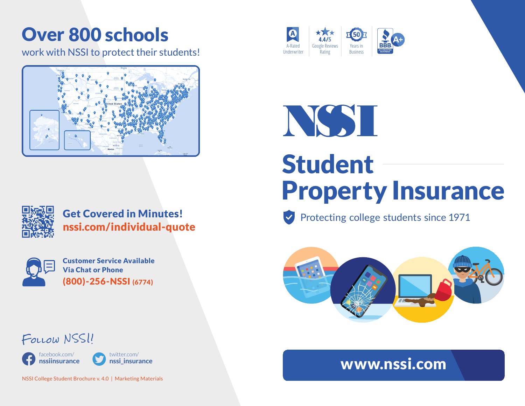## Over 800 schools

work with NSSI to protect their students!





Get Covered in Minutes! nssi.com/individual-quote



facebook.com/ **nssiinsurance**

Follow NSSI!

Customer Service Available Via Chat or Phone (800)-256-NSSI (6774)

> twitter.com/ **nssi\_insurance**





## Student Property Insurance

Protecting college students since 1971



## www.nssi.com